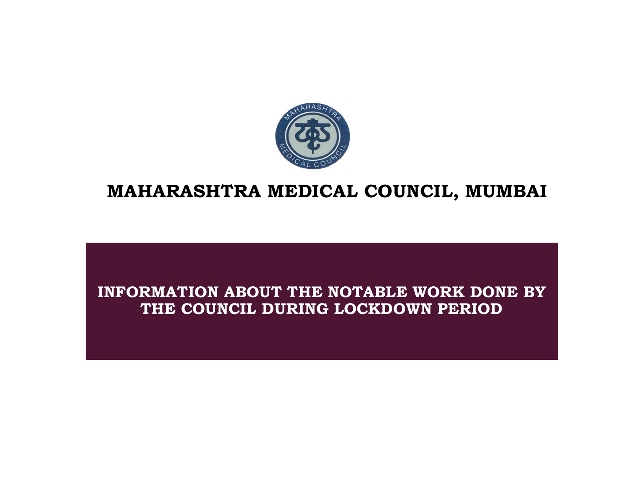

# MAHARASHTRA MEDICAL COUNCIL, MUMBAI

## INFORMATION ABOUT THE NOTABLE WORK DONE BY THE COUNCIL DURING LOCKDOWN PERIOD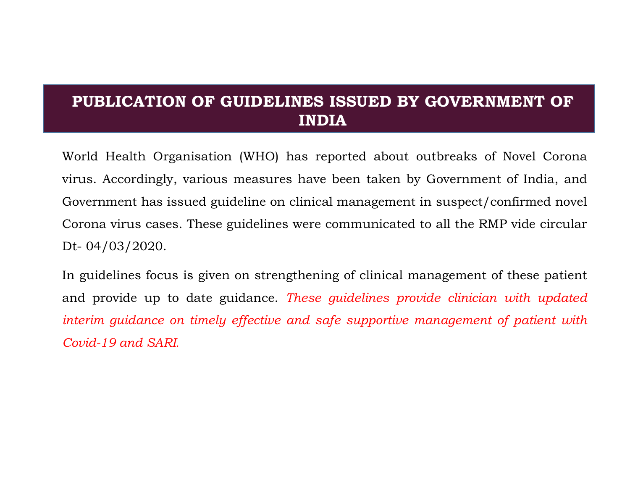# PUBLICATION OF GUIDELINES ISSUED BY GOVERNMENT OF INDIA

PUBLICATION OF GUIDELINES ISSUED BY GOVERNMENT OF<br>INDIA<br>World Health Organisation (WHO) has reported about outbreaks of Novel Corona<br>virus. Accordingly, various measures have been taken by Government of India, and<br>Governme **PUBLICATION OF GUIDELINES ISSUED BY GOVERNMENT OF INDIA**<br>World Health Organisation (WHO) has reported about outbreaks of Novel Corona<br>virus. Accordingly, various measures have been taken by Government of India, and<br>Govern **PUBLICATION OF GUIDELINES ISSUED BY GOVERNMENT OF**<br>**INDIA**<br>World Health Organisation (WHO) has reported about outbreaks of Novel Corona<br>virus. Accordingly, various measures have been taken by Government of India, and<br>Gove **PUBLICATION OF GUIDELINES ISSUED BY GOVERNMENT OF INDIA**<br>World Health Organisation (WHO) has reported about outbreaks of Novel Corona<br>virus. Accordingly, various measures have been taken by Government of India, and<br>Govern **PUBLICATION OF GUIDELINES IS**<br> **INDIA**<br>
World Health Organisation (WHO) has repor<br>
virus. Accordingly, various measures have be<br>
Government has issued guideline on clinical m<br>
Corona virus cases. These guidelines were com **PUBLICATION OF GUIDELINES ISSUED BY GOVERNMENT OF**<br> **INDIA**<br>
World Health Organisation (WHO) has reported about outbreaks of Novel Corona<br>
virus. Accordingly, various measures have been taken by Government of India, and<br> **PUBLICATION OF GUIDELINES ISSUED BY GOVERNMENT OF**<br> **INDIA**<br>
World Health Organisation (WHO) has reported about outbreaks of Novel Corona<br>
virus. Accordingly, various measures have been taken by Government of India, and<br> INDIA<br>World Health Organisation (WHO) has reported about outbreaks of Novel Corona<br>virus. Accordingly, various measures have been taken by Government of India, and<br>Government has issued guideline on clinical management in World Health Organisation (WHO) has reported about<br>virus. Accordingly, various measures have been taken<br>Government has issued guideline on clinical managemer<br>Corona virus cases. These guidelines were communicate<br>Dt- 04/03/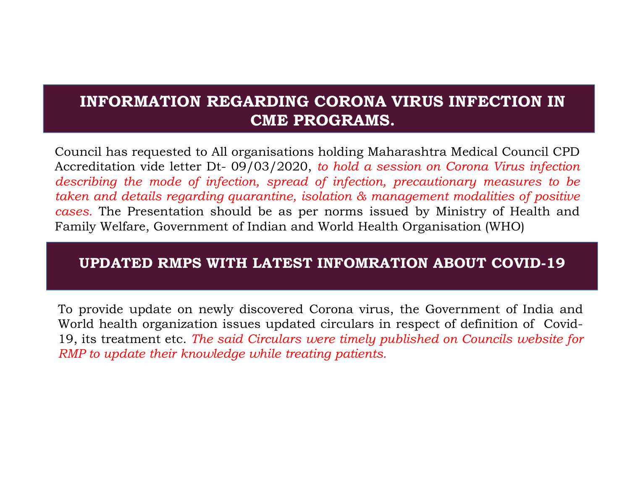# INFORMATION REGARDING CORONA VIRUS INFECTION IN CME PROGRAMS.

INFORMATION REGARDING CORONA VIRUS INFECTION IN<br>
CME PROGRAMS.<br>
Council has requested to All organisations holding Maharashtra Medical Council CPD<br>
Accreditation vide letter Dt- 09/03/2020, to hold a session on Corona Viru **INFORMATION REGARDING CORONA VIRUS INFECTION IN**<br> **CME PROGRAMS.**<br>
Council has requested to All organisations holding Maharashtra Medical Council CPD<br>
Accreditation vide letter Dt- 09/03/2020, to hold a session on Corona **INFORMATION REGARDING CORONA VIRUS INFECTION IN**<br> **CME PROGRAMS.**<br>
Council has requested to All organisations holding Maharashtra Medical Council CPD<br>
Accreditation vide letter Dt- 09/03/2020, to hold a session on Corona **INFORMATION REGARDING CORONA VIRUS INFECTION IN**<br> **CME PROGRAMS.**<br>
Council has requested to All organisations holding Maharashtra Medical Council CPD<br>
Accreditation vide letter Dt- 09/03/2020, to hold a session on Coron **INFORMATION REGARDING CORONA VIRUS INFECTION IN**<br> **CME PROGRAMS.**<br>
Council has requested to All organisations holding Maharashtra Medical Council CPD<br>
Accreditation vide letter Dt- 09/03/2020, to hold a session on Corona INFORMATION REGARDING CORONA VIRUS INFECTION IN<br>
CME PROGRAMS.<br>
Council has requested to All organisations holding Maharashtra Medical Council CPD<br>
Acecreditation vide letter Dt- 09/03/2020, to hold a session on Corona Vir **CME PROGRAMS.**<br>
Council has requested to All organisations holding Maharashtra Medical Council CPD<br>
Accreditation vide letter Dt-09/03/2020, to hold a session on Corona Virus infection<br>
describing the mode of infection, s Council has requested to All organisations holding Maharashtra Medical Council CPD<br>Accreditation vide letter Dt- 09/03/2020, to hold a session on Corona Virus infection<br>describing the mode of infection, spread of infectio Council has requested to All organisations holding Maharashtra Medical Council CPD<br>Accreditation vide letter Dt-09/03/2020, to hold a session on Corona Virus infection<br>describing the mode of infection, spread of infection Countril as requested to minigarisations including manisalism a method of Accreditation vide letter Dt-09/03/2020, to hold a session on Corona Virus infection describing the mode of infection, spread of infection, precaut

#### UPDATED RMPS WITH LATEST INFOMRATION ABOUT COVID-19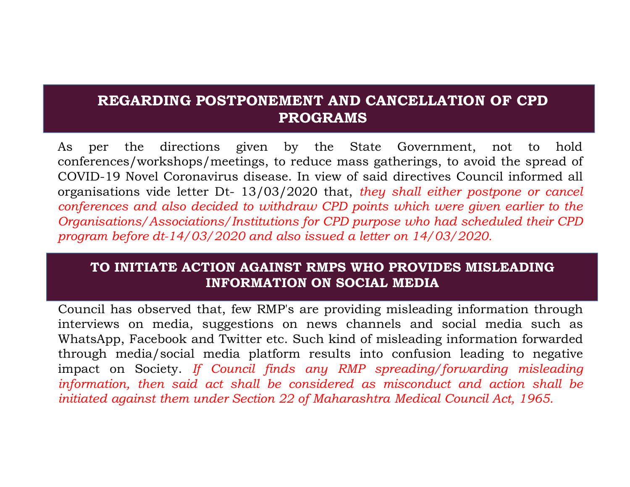## REGARDING POSTPONEMENT AND CANCELLATION OF CPD PROGRAMS

**REGARDING POSTPONEMENT AND CANCELLATION OF CPD**<br>**PROGRAMS**<br>As per the directions given by the State Government, not to hold<br>conferences/workshops/meetings, to reduce mass gatherings, to avoid the spread of<br>COVID-19 Novel **REGARDING POSTPONEMENT AND CANCELLATION OF CPD**<br>**PROGRAMS**<br>As per the directions given by the State Government, not to hold<br>conferences/workshops/meetings, to reduce mass gatherings, to avoid the spread of<br>COVID-19 Novel **REGARDING POSTPONEMENT AND CANCELLATION OF CPD**<br>**PROGRAMS**<br>As per the directions given by the State Government, not to hold<br>conferences/workshops/meetings, to reduce mass gatherings, to avoid the spread of<br>covID-19 Novel **REGARDING POSTPONEMENT AND CANCELLATION OF CPD**<br>**PROGRAMS**<br>As per the directions given by the State Government, not to hold<br>conferences/workshops/meetings, to reduce mass gatherings, to avoid the spread of<br>cOVID-19 Novel **REGARDING POSTPONEMENT AND CANCELLATION OF CPD**<br>**PROGRAMS**<br>As per the directions given by the State Government, not to hold<br>conferences/workshops/meetings, to reduce mass gatherings, to avoid the spread of<br>COVID-19 Novel **REGARDING POSTPONEMENT AND CANCELLATION OF CPD**<br>**PROGRAMS**<br>As per the directions given by the State Government, not to hold<br>conferences/workshops/meetings, to reduce mass gatherings, to avoid the spread of<br>COVID-19 Novel **REGARDING POSTPONEMENT AND CANCELLATION OF CPD**<br> **PROGRAMS**<br>
As per the directions given by the State Government, not to hold<br>
conferences/workshops/meetings, to reduce mass gatherings, to avoid the spread of<br>
COVID-19 No **EXECUTE 19 EXECUTE SET AS ONE CONDUMNAM S**<br>
Respectively, the state of COVID-19 Novel Coronavirus disease. In view of said directives Council informed all<br>
organisations vide letter Dt- 13/03/2020 that, they shall either As per the directions given the decorations of the State Government, not to hold conferences/workshops/meetings, to reduce mass gatherings, to avoid the spread of COVID-19 Novel Coronavirus disease. In view of said direct As per the directions given by the State Government, not to hold<br>conferences/workshops/meetings, to reduce mass gatherings, to avoid the spread of<br>COVID-19 Novel Coronavirus disease. In view of said directives Council inf

#### TO INITIATE ACTION AGAINST RMPS WHO PROVIDES MISLEADING INFORMATION ON SOCIAL MEDIA

conferences/workshops/meetings, to reduce mass gatherings, to avoid the spread of COVID-19 Novel Coronavirus disease. In view of said directives Council informed all organisations vide letter Dt-13/03/2020 that, they shal COVID-19 Novel Coronavirus disease. In view of said directives Council informed all<br>organisations vide letter Dt-13/03/2020 that, they shall either postpone or cancel<br>conferences and also decided to withdraw CPD points wh organisations vide letter Dt- 13/03/2020 that, they shall either postpone or cancel<br>conferences and also decided to withdraw CPD points which were given earlier to the<br>Organisations/Associations/Institutions for CPD purpos conferences and also decided to withdraw CPD points which were given earlier to the<br>Organisations/Associations/Institutions for CPD purpose who had scheduled their CPD<br>program before dt-14/03/2020 and also issued a letter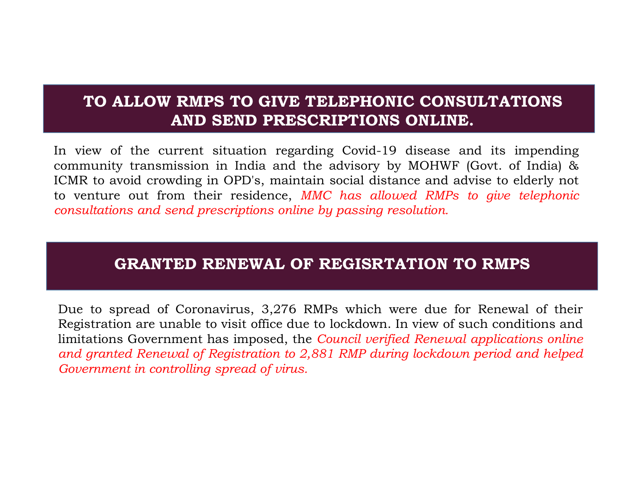# TO ALLOW RMPS TO GIVE TELEPHONIC CONSULTATIONS AND SEND PRESCRIPTIONS ONLINE.

**EXECT AND SEND PRESCRIPTIONS ONLINE.**<br>
The view of the current situation regarding Covid-19 disease and its impending<br>
community transmission in India and the advisory by MOHWF (Govt. of India) &<br>
CMR to avoid crowding in REGISTRATION TRUSSURY TRUSSURY TRUSSURGE.<br>
The condition of the current situation regarding Covid-19 disease and its impending<br>
CMR to avoid crowding in OPD's, maintain social distance and advise to elderly not<br>
consultati In view of the current situation regarding Covid-19 disease and its impending<br>community transmission in India and the advisory by MOHWF (Govt. of India) &<br>CMR to avoid crowding in OPD's, maintain social distance and advise TO ALLOW RMPS TO GIVE TELEPHONIC CONSULTATIONS<br>AND SEND PRESCRIPTIONS ONLINE.<br>In view of the current situation regarding Covid-19 disease and its impending<br>community transmission in India and the advisory by MOHWF (Govt. o **TO ALLOW RMPS TO GIVE TELEPHONIC CONSULTATIONS**<br>**AND SEND PRESCRIPTIONS ONLINE.**<br>In view of the current situation regarding Covid-19 disease and its impending<br>community transmission in India and the advisory by MOHWF (Gov TO ALLOW RMPS TO GIVE TELEPHONIC CONSULTATIONS<br>AND SEND PRESCRIPTIONS ONLINE.<br>In view of the current situation regarding Covid-19 disease and its impending<br>community transmission in India and the advisory by MOHWF (Govt. o TO ALLOW RMPS TO GIVE TELEPHONIC CONSULTATIONS<br>AND SEND PRESCRIPTIONS ONLINE.<br>In view of the current situation regarding Covid-19 disease and its impending<br>community transmission in India and the advisory by MOHWF (Govt. o TO ALLOW RMPS TO GIVE TELEPHONIC CONSULTATIONS<br>
AND SEND PRESCRIPTIONS ONLINE.<br>
In view of the current situation regarding Covid-19 disease and its impending<br>
community transmission in India and the advisory by MOHWF (Govt

### GRANTED RENEWAL OF REGISRTATION TO RMPS

France of the Carenter statement and the advisory by MOHWF (Govt. of India) & CMR to avoid crowding in OPD's, maintain social distance and advise to elderly not o venture out from their residence, *MMC* has allowed RMPs t SCOMR to avoid crowding in OPD's, maintain social distance and advise to elde<br>o venture out from their residence, *MMC has allowed RMPs to give tell*<br>o venture out from their residence, *MMC has allowed RMPs to give tell*<br>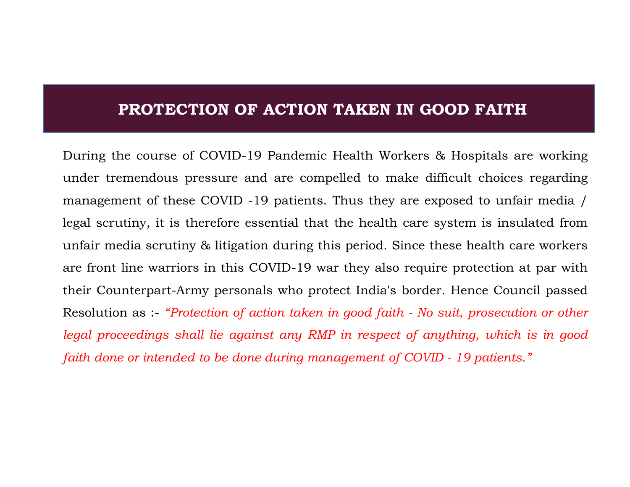## PROTECTION OF ACTION TAKEN IN GOOD FAITH

**PROTECTION OF ACTION TAKEN IN GOOD FAITH**<br>During the course of COVID-19 Pandemic Health Workers & Hospitals are working<br>under tremendous pressure and are compelled to make difficult choices regarding<br>management of these C **PROTECTION OF ACTION TAKEN IN GOOD FAITH**<br>During the course of COVID-19 Pandemic Health Workers & Hospitals are working<br>under tremendous pressure and are compelled to make difficult choices regarding<br>management of these C **PROTECTION OF ACTION TAKEN IN GOOD FAITH**<br>During the course of COVID-19 Pandemic Health Workers & Hospitals are working<br>under tremendous pressure and are compelled to make difficult choices regarding<br>management of these C **PROTECTION OF ACTION TAKEN IN GOOD FAITH**<br>During the course of COVID-19 Pandemic Health Workers & Hospitals are working<br>under tremendous pressure and are compelled to make difficult choices regarding<br>management of these C **PROTECTION OF ACTION TAKEN IN GOOD FAITH**<br>During the course of COVID-19 Pandemic Health Workers & Hospitals are working<br>under tremendous pressure and are compelled to make difficult choices regarding<br>management of these C **PROTECTION OF ACTION TAKEN IN GOOD FAITH**<br>During the course of COVID-19 Pandemic Health Workers & Hospitals are working<br>under tremendous pressure and are compelled to make difficult choices regarding<br>management of these C **PROTECTION OF ACTION TAKEN IN GOOD FAITH**<br>During the course of COVID-19 Pandemic Health Workers & Hospitals are working<br>under tremendous pressure and are compelled to make difficult choices regarding<br>management of these C PROTECTION OF ACTION TRIVEN IN GOOD FAITH<br>
During the course of COVID-19 Pandemic Health Workers & Hospitals are working<br>
under tremendous pressure and are compelled to make difficult choices regarding<br>
management of these During the course of COVID-19 Pandemic Health Workers & Hospitals are working<br>under tremendous pressure and are compelled to make difficult choices regarding<br>management of these COVID -19 patients. Thus they are exposed to During the course or COVID-19 Fainteninc retain workers of Flosphals are working<br>under tremendous pressure and are compelled to make difficult choices regarding<br>management of these COVID -19 patients. Thus they are exposed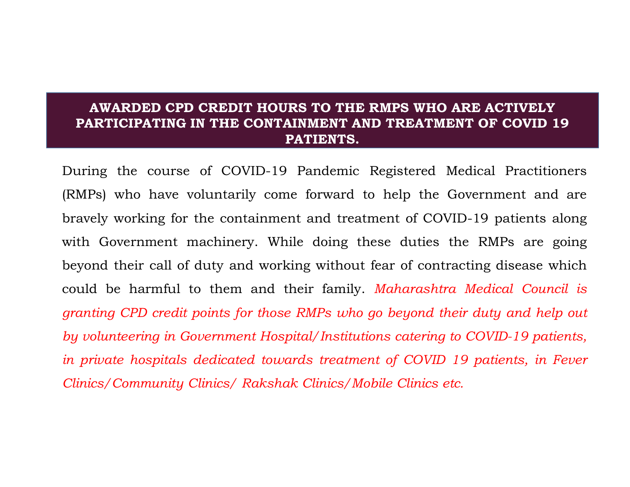#### AWARDED CPD CREDIT HOURS TO THE RMPS WHO ARE ACTIVELY PARTICIPATING IN THE CONTAINMENT AND TREATMENT OF COVID 19 PATIENTS.

AWARDED CPD CREDIT HOURS TO THE RMPS WHO ARE ACTIVELY<br>PARTICIPATING IN THE CONTAINMENT AND TREATMENT OF COVID 19<br>PATIENTS.<br>During the course of COVID-19 Pandemic Registered Medical Practitioners<br>(RMPs) who have voluntarily (RMPS) AWARDED CPD CREDIT HOURS TO THE RMPS WHO ARE ACTIVELY<br>
PARTICIPATING IN THE CONTAINMENT AND TREATMENT OF COVID 19<br>
PATIENTS.<br>
During the course of COVID-19 Pandemic Registered Medical Practitioners<br>
(RMPs) who have AWARDED CPD CREDIT HOURS TO THE RMPS WHO ARE ACTIVELY<br>PARTICIPATING IN THE CONTAINMENT AND TREATMENT OF COVID 19<br>PATIENTS.<br>During the course of COVID-19 Pandemic Registered Medical Practitioners<br>(RMPs) who have voluntarily AWARDED CPD CREDIT HOURS TO THE RMPS WHO ARE ACTIVELY<br>PARTICIPATING IN THE CONTAINMENT AND TREATMENT OF COVID 19<br>PATIENTS.<br>During the course of COVID-19 Pandemic Registered Medical Practitioners<br>(RMPs) who have voluntarily **AWARDED CPD CREDIT HOURS TO THE RMPS WHO ARE ACTIVELY**<br>**PARTICIPATING IN THE CONTAINMENT AND TREATMENT OF COVID 19**<br>**PATIENTS.**<br>During the course of COVID-19 Pandemic Registered Medical Practitioners<br>(RMPs) who have volun **AWARDED CPD CREDIT HOURS TO THE RMPS WHO ARE ACTIVELY**<br>**PARTICIPATING IN THE CONTAINMENT AND TREATMENT OF COVID 19**<br>**PATIENTS.**<br>During the course of COVID-19 Pandemic Registered Medical Practitioners<br>(RMPs) who have volun **PARTICIPATING IN THE CONTAINMENT AND TREATMENT OF COVID 19**<br>**PATIENTS.**<br>During the course of COVID-19 Pandemic Registered Medical Practitioners<br>(RMPs) who have voluntarily come forward to help the Government and are<br>brave **PATIENTS.**<br>During the course of COVID-19 Pandemic Registered Medical Practitioners<br>(RMPs) who have voluntarily come forward to help the Government and are<br>bravely working for the containment and treatment of COVID-19 pati During the course of COVID-19 Pandemic Registered Medical Practitioners (RMPs) who have voluntarily come forward to help the Government and are bravely working for the containment and treatment of COVID-19 patients along w (RMPs) who have voluntarily come forward to help the Government and are bravely working for the containment and treatment of COVID-19 patients along with Government machinery. While doing these duties the RMPs are going be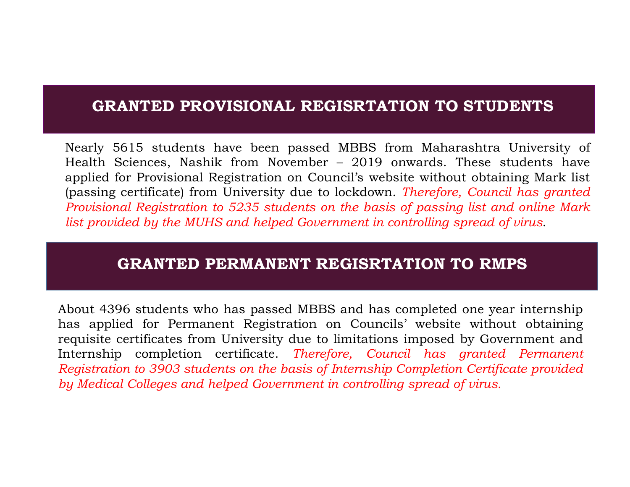# GRANTED PROVISIONAL REGISRTATION TO STUDENTS

Mearly 5615 students have been passed MBBS from Maharashtra University of<br>Health Sciences, Nashik from November – 2019 onwards. These students have<br>applied for Provisional Registration on Council's website without obtainin Nearly 5615 students have been passed MBBS from Maharashtra University of<br>Health Sciences, Nashik from November – 2019 onwards. These students have<br>applied for Provisional Registration on Council's website without obtaini Nearly 5615 students have been passed MBBS from Maharashtra University of<br>Health Sciences, Nashik from November – 2019 onwards. These students have<br>applied for Provisional Registration on Council's website without obtaini **GRANTED PROVISIONAL REGISRTATION TO STUDENTS**<br>Nearly 5615 students have been passed MBBS from Maharashtra University of<br>Health Sciences, Nashik from November – 2019 onwards. These students have<br>applied for Provisional Reg **GRANTED PROVISIONAL REGISRTATION TO STUDENTS**<br>Nearly 5615 students have been passed MBBS from Maharashtra University of<br>Health Sciences, Nashik from November – 2019 onwards. These students have<br>applied for Provisional Reg **GRANTED PROVISIONAL REGISRTATION TO STUDENTS**<br>Nearly 5615 students have been passed MBBS from Maharashtra University of<br>Health Sciences, Nashik from November – 2019 onwards. These students have<br>applied for Provisional Reg **GRANTED PROVISIONAL REGISRTATION TO STUDENTS**<br>Nearly 5615 students have been passed MBBS from Maharashtra University of<br>Health Sciences, Nashik from November – 2019 onwards. These students have<br>(passing certificate) from **GRANTED PROVISIONAL REGISRTATION TO STUDENTS**<br>
Nearly 5615 students have been passed MBBS from Maharashtra University of<br>
Health Sciences, Nashik from November - 2019 onwards. These students have<br>
applied for Provisional **GRANTED PROVISIONAL REGISRTATION TO STUDENTS**<br>
Nearly 5615 students have been passed MBBS from Maharashtra University of<br>
Health Sciences, Nashik from November - 2019 onwards. These students have<br>
applied for Provisional

#### GRANTED PERMANENT REGISRTATION TO RMPS

Internal of the Sciences, Nashik from November - 2019 onwards. These students have<br>applied for Provisional Registration on Council's website without obtaining Mark list<br>(passing certificate) from University due to lockdow applied for Provisional Registration on Council's website without obtaining Mark list<br>(passing certificate) from University due to lockdown. Therefore, Council has granted<br>Provisional Registration to 5235 students on the b (passing certificate) from University due to lockdown. Therefore, Council has granted Provisional Registration to 5235 students on the basis of passing list and online Mark list provided by the MUHS and helped Government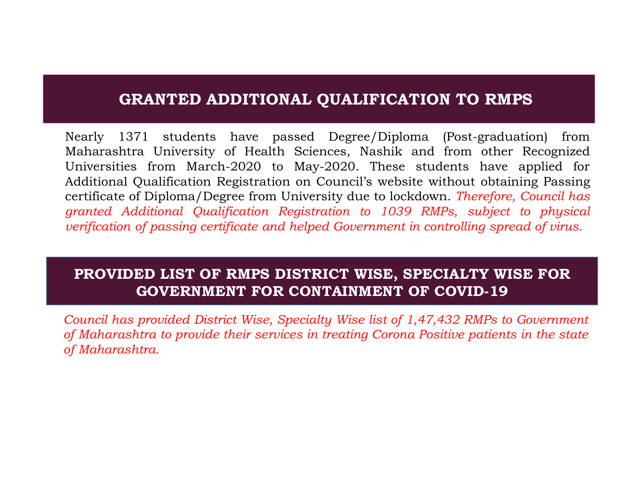# GRANTED ADDITIONAL QUALIFICATION TO RMPS

Nearly 1371 students have passed Degree/Diploma (Post-graduation) from<br>Maharashtra University of Health Sciences, Nashik and from other Recognized<br>Universities from March-2020 to May-2020. These students have applied for<br> Nearly 1371 students have passed Degree/Diploma (Post-graduation) from<br>Maharashtra University of Health Sciences, Nashik and from other Recognized<br>Universities from March-2020 to May-2020. These students have applied for<br>A Maharashtra University of Health Science<br>Universities from March-2020 to May-20<br>Additional Qualification Registration on Courcertificate of Diploma/Degree from University<br>granted Additional Qualification Registration<br>verif GRANTED ADDITIONAL QUALIFICATION TO RMPS<br>Nearly 1371 students have passed Degree/Diploma (Post-graduation) from<br>Maharashtra University of Health Sciences, Nashik and from other Recognized<br>Universities from March-2020 to Ma **GRANTED ADDITIONAL QUALIFICATION TO RMPS**<br>Nearly 1371 students have passed Degree/Diploma (Post-graduation) from<br>Maharashtra University of Health Sciences, Nashik and from other Recognized<br>Universities from March-2020 to **GRANTED ADDITIONAL QUALIFICATION TO RMPS**<br>
Nearly 1371 students have passed Degree/Diploma (Post-graduation) from<br>
Maharashtra University of Health Sciences, Nashik and from other Recognized<br>
Universities from March-2020 **GRANTED ADDITIONAL QUALIFICATION TO RMPS**<br>Nearly 1371 students have passed Degree/Diploma (Post-graduation) from<br>Maharashtra University of Health Sciences, Nashik and from other Recognized<br>Universities from March-2020 to **GRANTED ADDITIONAL QUALIFICATION TO RMPS**<br>Nearly 1371 students have passed Degree/Diploma (Post-graduation) from<br>Maharashtra University of Health Sciences, Nashik and from other Recognized<br>Universities from March-2020 to GRANTED ADDITIONAL QUALIFICATION TO RMPS<br>Nearly 1371 students have passed Degree/Diploma (Post-graduation) from<br>Maharashtra University of Health Sciences, Nashik and from other Recognized<br>Universities from March-2020 to Ma **GRANTED ADDITIONAL QUALIFICATION TO RMPS**<br>Nearly 1371 students have passed Degree/Diploma (Post-graduation) from<br>Maharashtra University of Health Sciences, Nashik and from other Recognized<br>Additional Qualification Registr

## PROVIDED LIST OF RMPS DISTRICT WISE, SPECIALTY WISE FOR GOVERNMENT FOR CONTAINMENT OF COVID-19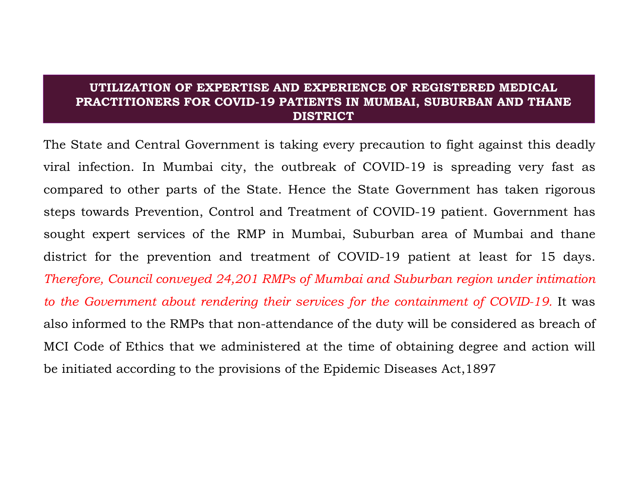#### UTILIZATION OF EXPERTISE AND EXPERIENCE OF REGISTERED MEDICAL PRACTITIONERS FOR COVID-19 PATIENTS IN MUMBAI, SUBURBAN AND THANE DISTRICT

UTILIZATION OF EXPERTISE AND EXPERIENCE OF REGISTERED MEDICAL<br>PRACTITIONERS FOR COVID-19 PATIENTS IN MUMBAI, SUBURBAN AND THANE<br>DISTRICT<br>The State and Central Government is taking every precaution to fight against this dea UTILIZATION OF EXPERTISE AND EXPERIENCE OF REGISTERED MEDICAL<br>PRACTITIONERS FOR COVID-19 PATIENTS IN MUMBAI, SUBURBAN AND THANE<br>DISTRICT<br>The State and Central Government is taking every precaution to fight against this dea UTILIZATION OF EXPERTISE AND EXPERIENCE OF REGISTERED MEDICAL<br>PRACTITIONERS FOR COVID-19 PATIENTS IN MUMBAI, SUBURBAN AND THANE<br>The State and Central Government is taking every precaution to fight against this deadly<br>viral UTILIZATION OF EXPERTISE AND EXPERIENCE OF REGISTERED MEDICAL<br>PRACTITIONERS FOR COVID-19 PATIENTS IN MUMBAI, SUBURBAN AND THANE<br>DISTRICT<br>The State and Central Government is taking every precaution to fight against this dea UTILIZATION OF EXPERTISE AND EXPERIENCE OF REGISTERED MEDICAL<br>
PRACTITIONERS FOR COVID-19 PATIENTS IN MUMBAI, SUBURBAN AND THANE<br>
DISTRICT<br>
The State and Central Government is taking every precaution to fight against this UTILIZATION OF EXPERTISE AND EXPERIENCE OF REGISTERED MEDICAL<br>
PRACTITIONERS FOR COVID-19 PATIENTS IN MUMBAI, SUBURBAN AND THANE<br>
DISTRICT<br>
The State and Central Government is taking every precaution to fight against this **UTILIZATION OF EXPERTISE AND EXPERIENCE OF REGISTERED MEDICAL**<br>**PRACTITIONERS FOR COVID-19 PATIENTS IN MUMBAI, SUBURBAN AND THANE**<br>**DISTRICT**<br>The State and Central Government is taking every precaution to fight against t **EXACTITIONERS FOR COVID-19 PATIENTS IN MUMBAI, SUBURBAN AND THANE**<br>DISTRICT<br>The State and Central Government is taking every precaution to fight against this deadly<br>viral infection. In Mumbai city, the outbreak of COVID-1 The State and Central Government is taking every precaution to fight against this deadly viral infection. In Mumbai city, the outbreak of COVID-19 is spreading very fast as compared to other parts of the State. Hence the S The state and Central Government is taking every precaution to light against this deadly<br>viral infection. In Mumbai city, the outbreak of COVID-19 is spreading very fast as<br>compared to other parts of the State. Hence the S orial initiation. In Mulmbal city, the outbreak of COVID-19 is spreading very last as<br>compared to other parts of the State. Hence the State Government has taken rigorous<br>steps towards Prevention, Control and Treatment of C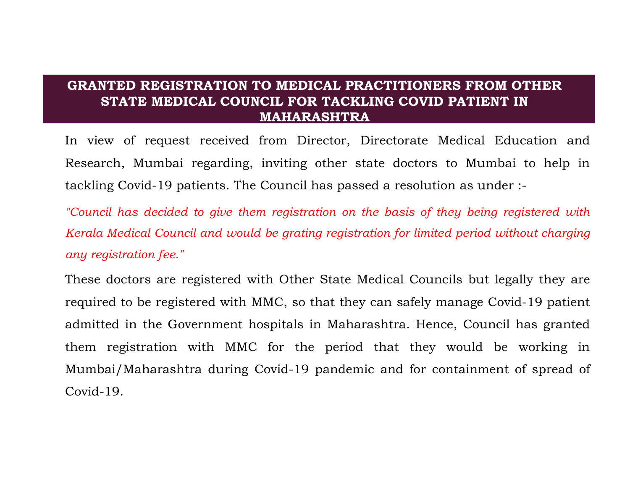#### GRANTED REGISTRATION TO MEDICAL PRACTITIONERS FROM OTHER STATE MEDICAL COUNCIL FOR TACKLING COVID PATIENT IN MAHARASHTRA

GRANTED REGISTRATION TO MEDICAL PRACTITIONERS FROM OTHER<br>STATE MEDICAL COUNCIL FOR TACKLING COVID PATIENT IN<br>MAHARASHTRA<br>In view of request received from Director, Directorate Medical Education and<br>Research, Mumbai regardi GRANTED REGISTRATION TO MEDICAL PRACTITIONERS FROM OTHER<br>STATE MEDICAL COUNCIL FOR TACKLING COVID PATIENT IN<br>In view of request received from Director, Directorate Medical Education and<br>Research, Mumbai regarding, inviting **GRANTED REGISTRATION TO MEDICAL PRACTITIONERS FROM OTHER**<br> **STATE MEDICAL COUNCIL FOR TACKLING COVID PATIENT IN**<br> **In view of request received from Director, Directorate Medical Education and**<br>
Research, Mumbai regarding, GRANTED REGISTRATION TO MEDICAL PRACTITIONERS FROM OTHER<br>STATE MEDICAL COUNCIL FOR TACKLING COVID PATIENT IN<br>In view of request received from Director, Directorate Medical Education and<br>Research, Mumbai regarding, inviting GRANTED REGISTRATION TO MEDICAL PRACTITIONERS FROM OTHER<br>STATE MEDICAL COUNCIL FOR TACKLING COVID PATIENT IN<br>MAHARASHTRA<br>In view of request received from Director, Directorate Medical Education and<br>Research, Mumbai regardi **GRANTED REGISTRATION TO MEDICAL PRACTITIC**<br> **STATE MEDICAL COUNCIL FOR TACKLING CO**<br> **MAHARASHTRA**<br>
In view of request received from Director, Directorar<br>
Research, Mumbai regarding, inviting other state doct<br>
tackling Co

GRANTED REGISTRATION TO MEDICAL PRACTITIONERS FROM OTHER<br>
STATE MEDICAL COUNCIL FOR TACKLING COVID PATIENT IN<br>
In view of request received from Director, Directorate Medical Education and<br>
Research, Mumbai regarding, invit **EXATE MEDICAL COUNCIL FOR TACKLING COVID PATIENT IN**<br> **MAHARASHTRA**<br>
In view of request received from Director, Directorate Medical Education and<br>
Research, Mumbai regarding, inviting other state doctors to Mumbai to help In view of request received from Director, Directorate Medical Education and<br>Research, Mumbai regarding, inviting other state doctors to Mumbai to help in<br>tackling Covid-19 patients. The Council has passed a resolution as Them registration with the material controlled that the metallic included the proceding Covid-19 patients. The Council has passed a resolution as under :-<br>"Council has decided to give them registration on the basis of they Musical Covid-19 patients, mixing other and about the maintain to help intackling Covid-19 patients. The Council has passed a resolution as under :-<br>"Council has decided to give them registration on the basis of they being Covid-19.